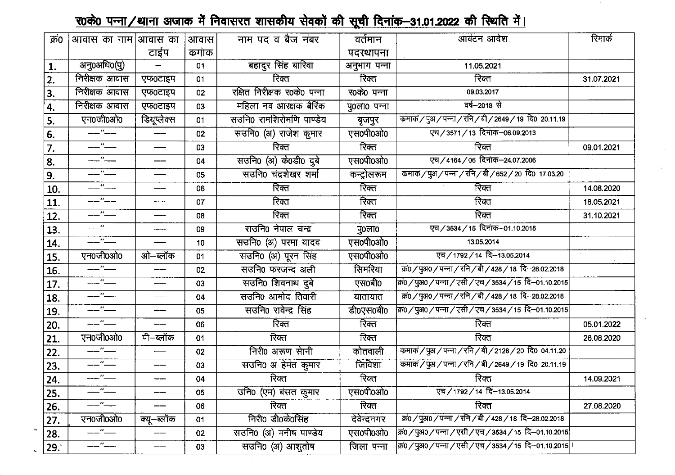## <u> र0के0 पन्ना/धाना अजाक में निवासरत शासकीय सेवकों की सूची दिनांक–31.01.2022 की स्थिति में।</u>

| क्र0 | आवास का नाम आवास का        |             | आवास            | नाम पद व बैज नंबर           | वर्तमान      | आवंटन आदेश                                                  | रिमार्क    |
|------|----------------------------|-------------|-----------------|-----------------------------|--------------|-------------------------------------------------------------|------------|
|      |                            | टाईप        | कमांक           |                             | पदस्थापना    |                                                             |            |
| 1.   | अनु0अधि0(पु)               |             | 01              | बहादुर सिंह बारिवा          | अनुभाग पन्ना | 11.05.2021                                                  |            |
| 2.   | निरीक्षक आवास              | एफ0टाइप     | 01              | रिक्त                       | रिक्त        | रिक्त                                                       | 31.07.2021 |
| 3.   | निरीक्षक आवास              | एफ0टाइप     | 02              | रक्षित निरीक्षक र0के0 पन्ना | र0के0 पन्ना  | 09.03.2017                                                  |            |
| 4.   | निरीक्षक आवास              | एफ0टाइप     | 03              | महिला नव आरक्षक बैरिक       | पु0ला0 पन्ना | वर्ष-2018 से                                                |            |
| 5.   | एन0जी0ओ0                   | डियूप्लेक्स | 01              | सउनि0 रामशिरोमणि पाण्डेय    | बृजपुर       | कमाकं / पुअ / पन्ना / रनि / बी / 2649 / 19 दि0 20.11.19     |            |
| 6.   | $--$ " $--$                | ——          | 02              | सउनि0 (अ) राजेश कुमार       | एस0पी0ओ0     | एच/3571/13 दिनांक-06.09.2013                                |            |
| 7.   | $--$                       | ——          | 03              | रिक्त                       | रिक्त        | रिक्त                                                       | 09.01.2021 |
| 8.   | $-$ " $-$                  | ——          | 04              | सउनि० (अ) कं0डी० दुबे       | एस0पी0ओ0     | एच/4164/06 दिनांक-24.07.2006                                |            |
| 9.   |                            |             | 05              | सउनि0 चंद्रशेखर शर्मा       | कन्ट्रोलरूम  | कमाकं / पुअ / पन्ना / रनि / बी / 652 / 20)दि0 17.03.20      |            |
| 10.  | $--$ " $-$                 |             | 06              | रिक्त                       | रिक्त        | रिक्त                                                       | 14.08.2020 |
| 11.  | $--$ " $--$                | -----       | 07              | रिक्त                       | रिक्त        | रिक्त                                                       | 18.05.2021 |
| 12.  | ——"——                      | -----       | 08              | रिक्त                       | रिक्त        | रिक्त                                                       | 31.10.2021 |
| 13.  | $-$ " $-$                  |             | 09              | सउनि0 नेपाल चन्द्र          | पु0ला0       | एच/3534/15 दिनांक-01.10.2015                                |            |
| 14.  |                            |             | 10              | सउनि0 (अ) परमा यादव         | एस0पी0ओ0     | 13.05.2014                                                  |            |
| 15.  | एन०जी०ओ०                   | ओ–ब्लॉक     | 01              | सउनि0 (अ) पूरन सिंह         | एस0पी0ओ0     | एच/1792/14 दि-13.05.2014                                    |            |
| 16.  | $--$ " $--$                |             | 02              | सउनि० फरजन्द अली            | सिमरिया      | क्र0/पुअ0/पन्ना/रनि/बी/428/18 दि-28.02.2018                 |            |
| 17.  | ——"——                      | $-$         | 03              | सउनि0 शिवनाथ दुबे           | एस0बी0       | क्रि0 / पुअ0 / पन्ना / एसी / एच / 3534 / 15) दि–01.10.2015  |            |
| 18.  | ——"——                      |             | 04              | सउनि0 आमोद तिवारी           | यातायात      | क्र0 / पुअ0 / पन्ना / रनि / बी / 428 / 18 दि-28.02.2018     |            |
| 19.  | ——"——                      | ——          | 05              | सउनि0 रावेन्द्र सिंह        | डी0एस0बी0    | क0 / पुअ0 / पन्ना / एसी / एच / 3534 / 15) दि–01.10.2015     |            |
| 20.  | $---''---$                 |             | 06              | रिक्त                       | रिक्त        | रिक्त                                                       | 05.01.2022 |
| 21.  | एन0जी0ओ0                   | पी–ब्लॉक    | 01              | रिक्त                       | रिक्त        | रिक्त                                                       | 26.08.2020 |
| 22.  | ——"——                      | $-$         | 02              | निरी0 अरूण सानी             | कोतवाली      | कमाकं / पुअ / पन्ना / रनि / बी / 2128 / 20 दि0 04.11.20     |            |
| 23.  | ——"——                      | $- -$       | 03              | सउनि0 अ हेमंत कुमार         | जिविशा       | कमाकं / पुअ / पन्ना / रनि / बी / 2649 / 19) दि0 20.11.19    |            |
| 24.  | $--$ " $-$                 | ---         | 04              | रिक्त                       | रिक्त        | रिक्त                                                       | 14.09.2021 |
| 25.  | -----"-----                |             | 05              | उनि0 (एम) बसत कुमार         | एस0पी0ओ0     | एच/1792/14 दि-13.05.2014                                    |            |
| 26.  | $\overline{\phantom{a}''}$ |             | 06              | रिक्त                       | रिक्त        | रिक्त                                                       | 27.08.2020 |
| 27.  | एन0जी0ओ0                   | क्यू–ब्लॉक  | 01              | निरी0 डी0के0सिंह            | देवेन्द्रनगर | क0 / पुअ0 / पन्ना / रनि / बी / 428 / 18 दि-28.02.2018       |            |
| 28.  | ——"——                      |             | 02 <sub>2</sub> | सउनि० (अ) मनीष पाण्डेय      | एस0पी0ओ0     | क0 / पुअ0 / पन्ना / एसी / एच / 3534 / 15) दि–01.10.2015     |            |
| 29.7 |                            |             | 03              | सउनि0 (अ) आशुतोष            | जिला पन्ना   | क0 / पुअ0 / पन्ना / एसी / एच / 3534 / 15  दि–01.10.2015   । |            |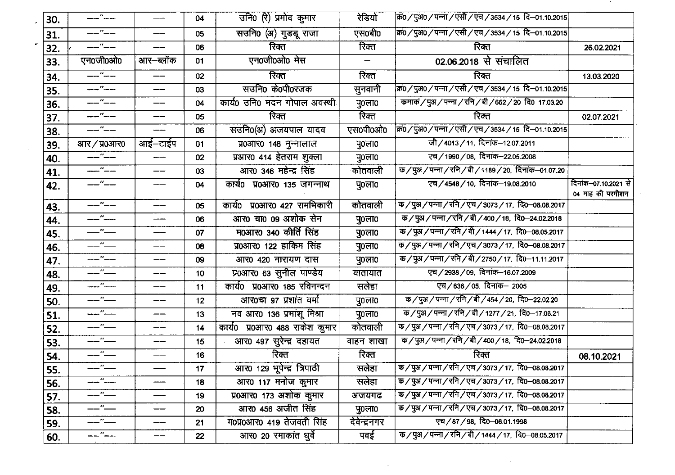|     | ——"——                                                                                                                                                                                                                                                                                                                                                                                                                                                                           | $\qquad \qquad \overbrace{\qquad \qquad }^{}$ | 04              | उनि0 (रे) प्रमोद कुमार         | रेडियो        | क्र0 / पुअ0 / पन्ना / एसी / एच / 3534 / 15 दि–01.10.2015                                                                                                  |                                          |
|-----|---------------------------------------------------------------------------------------------------------------------------------------------------------------------------------------------------------------------------------------------------------------------------------------------------------------------------------------------------------------------------------------------------------------------------------------------------------------------------------|-----------------------------------------------|-----------------|--------------------------------|---------------|-----------------------------------------------------------------------------------------------------------------------------------------------------------|------------------------------------------|
| 30. |                                                                                                                                                                                                                                                                                                                                                                                                                                                                                 |                                               |                 |                                |               |                                                                                                                                                           |                                          |
| 31. | ——"——                                                                                                                                                                                                                                                                                                                                                                                                                                                                           |                                               | 05              | सउनि0 (अ) गुडडू राजा           | एस0बी0        | क्र0 / पुअ0 / पन्ना / एसी / एच / 3534 / 15 दि–01.10.2015                                                                                                  |                                          |
| 32. | $- --$                                                                                                                                                                                                                                                                                                                                                                                                                                                                          |                                               | 06              | रिक्त                          | रिक्त         | रिक्त                                                                                                                                                     | 26.02.2021                               |
| 33. | एन0जी0ओ0                                                                                                                                                                                                                                                                                                                                                                                                                                                                        | आर–ब्लॉक                                      | 01              | एन0जी0ओ0 मेस                   | -             | 02.06.2018 से संचालित                                                                                                                                     |                                          |
| 34. | $\overline{\phantom{a}}$                                                                                                                                                                                                                                                                                                                                                                                                                                                        |                                               | 02              | रिक्त                          | रिक्त         | रिक्त                                                                                                                                                     | 13.03.2020                               |
| 35. | $- -$                                                                                                                                                                                                                                                                                                                                                                                                                                                                           | $-$                                           | 03              | सउनि० के0पी0रजक                | सुनवानी       | क्र0 / पुअ0 / पन्ना / एसी / एच / 3534 / 15 दि–01.10.2015                                                                                                  |                                          |
| 36. | --"--                                                                                                                                                                                                                                                                                                                                                                                                                                                                           | ——                                            | 04              | कार्य0 उनि0 मदन गोपाल अवस्थी   | पु0ला0        | कमाकं / पुअ / पन्ना / रनि / बी / 652 / 20) दि0 17.03.20                                                                                                   |                                          |
| 37. | ——"——                                                                                                                                                                                                                                                                                                                                                                                                                                                                           |                                               | 05              | रिक्त                          | रिक्त         | रिक्त                                                                                                                                                     | 02.07.2021                               |
| 38. | $---$ " ——                                                                                                                                                                                                                                                                                                                                                                                                                                                                      |                                               | 06              | सउनि0(अ) अजयपाल यादव           | एस0पी0ओ0      | क्रि0 / पुअ0 / पन्ना / एसी / एच / 3534 / 15  दि–01.10.2015                                                                                                |                                          |
| 39. | आर $/$ प्र $\alpha$ आर $\alpha$                                                                                                                                                                                                                                                                                                                                                                                                                                                 | आई–टाईप                                       | 01              | प्र0आर0 148 मुन्नालाल          | पु0ला0        | जी/4013/11, दिनांक-12.07.2011                                                                                                                             |                                          |
| 40. | <u> Time de la p</u>                                                                                                                                                                                                                                                                                                                                                                                                                                                            |                                               | 02              | प्रआर0 414 हेतराम शुक्ला       | पु $o$ ला $o$ | एच/1990/08, दिनांक-22.05.2008                                                                                                                             |                                          |
| 41. | ----- <sup>11</sup> -----                                                                                                                                                                                                                                                                                                                                                                                                                                                       | ——                                            | 03              | आर0 346 महेन्द्र सिंह          | कोतवाली       | क / पुअ / पन्ना / रनि / बी / 1189 / 20, दिनांक–01.07.20                                                                                                   |                                          |
| 42. | $\overline{\phantom{a}}$ $\overline{\phantom{a}}$ $\overline{\phantom{a}}$ $\overline{\phantom{a}}$ $\overline{\phantom{a}}$ $\overline{\phantom{a}}$ $\overline{\phantom{a}}$ $\overline{\phantom{a}}$ $\overline{\phantom{a}}$ $\overline{\phantom{a}}$ $\overline{\phantom{a}}$ $\overline{\phantom{a}}$ $\overline{\phantom{a}}$ $\overline{\phantom{a}}$ $\overline{\phantom{a}}$ $\overline{\phantom{a}}$ $\overline{\phantom{a}}$ $\overline{\phantom{a}}$ $\overline{\$ |                                               | 04              | कार्य0 प्र0आर0 135 जगन्नाथ     | पु0ला0        | एच/4546/10, दिनांक-19.08.2010                                                                                                                             | दिनांक-07.10.2021 से<br>04 माह की परमीशन |
| 43. | --"--                                                                                                                                                                                                                                                                                                                                                                                                                                                                           |                                               | 05              | कार्य0 प्र0आर0 427 रामभिकारी   | कोतवाली       | क / पुअ / पन्ना / रनि / एच / 3073 / 17, दि0–08.08.2017                                                                                                    |                                          |
| 44. | —— <i>"</i> ——                                                                                                                                                                                                                                                                                                                                                                                                                                                                  |                                               | 06              | आर0 चा0 09 अंशोक सेन           | पु $0$ ला $0$ | $\frac{1}{4}$ $\sqrt{4}$ $\sqrt{4}$ $\sqrt{4}$ / $\sqrt{4}$ / 400 / 18, 20–24.02.2018                                                                     |                                          |
| 45. | ——"——                                                                                                                                                                                                                                                                                                                                                                                                                                                                           | ——                                            | 07              | म0आर0 340 कीर्ति सिंह          | पु0ला0        | $\frac{1}{4}$ क / पुअ / पन्ना / रनि / बी / 1444 / 17,  दि0–08.05.2017                                                                                     |                                          |
| 46. | ——"——                                                                                                                                                                                                                                                                                                                                                                                                                                                                           |                                               | 08              | प्र0आर0 122 हाकिम सिंह         | पु0ला0        | $\overline{\Phi}/\overline{\mathrm{GM}}/\overline{\mathrm{V}}$ ना $/\overline{\mathrm{V}}$ पि $/\overline{\mathrm{V}}$ च $/$ 3073 $/$ 17,  दि0–08.08.2017 |                                          |
| 47. | $\overline{---}$ " $\overline{---}$                                                                                                                                                                                                                                                                                                                                                                                                                                             | ——                                            | 09              | आर0 420 नारायण दास             | पु0ला0        | क / पुअ / पन्ना / रनि / बी / 2750 / 17, दि0–11.11.2017                                                                                                    |                                          |
| 48. | $--''--$                                                                                                                                                                                                                                                                                                                                                                                                                                                                        | ——                                            | 10              | प्र0आर0 63 सुनील पाण्डेय       | यातायात       | एच / 2938 / 09, दिनांक-16.07.2009                                                                                                                         |                                          |
| 49. | ----- <sup>11</sup> -----                                                                                                                                                                                                                                                                                                                                                                                                                                                       | ——                                            | 11              | कार्य0 प्र0आर0 185 रविनन्दन    | सलेहा         | एच/636/05, दिनांक- 2005                                                                                                                                   |                                          |
| 50. | $-- - -$                                                                                                                                                                                                                                                                                                                                                                                                                                                                        | ——                                            | 12              | आर0चा ९७ प्रशांत वर्मा         | पु0ला0        | क / पुअ / पन्ना / रनि / बी / 454 / 20, दि0–22.02.20                                                                                                       |                                          |
| 51. | $ -$                                                                                                                                                                                                                                                                                                                                                                                                                                                                            | ——                                            | 13              | नव आर0 136 प्रभांशू मिश्रा     | पु0ला0        | क / पुअ / पन्ना / रनि / बी / 1277 / 21,  दि0–17.06.21                                                                                                     |                                          |
| 52. | $--$ " $--$                                                                                                                                                                                                                                                                                                                                                                                                                                                                     | ---                                           | 14              | कार्य0 प्र0आर0 488 राकेश कुमार | कोतवाली       | क / पुअ / पन्ना / रनि / एच / 3073 / 17,  दि0–08.08.2017                                                                                                   |                                          |
| 53. | $\overline{---}$ " $\overline{---}$                                                                                                                                                                                                                                                                                                                                                                                                                                             | ——                                            | 15              | आर0 497 सुरेन्द्र दहायत        | वाहन शाखा     | $\overline{\Phi}/\overline{\mathrm{G}}$ अ $\overline{/}$ पन्ना $\overline{/}$ रनि $\overline{/}$ बी $\overline{/}$ 400 $\overline{/}$ 18, दि0–24.02.2018  |                                          |
| 54. | $---$ " $---$                                                                                                                                                                                                                                                                                                                                                                                                                                                                   |                                               | 16              | रिक्त                          | रिक्त         | रिक्त                                                                                                                                                     | 08.10.2021                               |
| 55. | $\overline{\phantom{a}}$                                                                                                                                                                                                                                                                                                                                                                                                                                                        |                                               | 17 <sub>2</sub> | आर0 129 भूपेन्द्र त्रिपाठी     | सलेहा         | क/पुअ/पन्ना/रनि/एच/3073/17, दि0–08.08.2017                                                                                                                |                                          |
| 56. | --"--                                                                                                                                                                                                                                                                                                                                                                                                                                                                           |                                               | 18              | आर0 117 मनोज कुमार             | सलेहा         | क / पुअ / पन्ना / रनि / एच / 3073 / 17,  दि0–08.08.2017                                                                                                   |                                          |
| 57. | ——"——                                                                                                                                                                                                                                                                                                                                                                                                                                                                           | للمنعب                                        | 19              | प्र0आर0 173 अशोक कुमार         | अजयगढ         | $\overline{\Phi}/\overline{\mathrm{G}}$ अ / पन्ना / रनि / एच / 3073 / 17, दि0–08.08.2017                                                                  |                                          |
| 58. | ——"——                                                                                                                                                                                                                                                                                                                                                                                                                                                                           |                                               | 20              | आर0 456 अजीत सिंह              | पु0ला0        | $\phi$ / पुअ / पन्ना / रनि / एच / 3073 / 17,  दि0–08.08.2017                                                                                              |                                          |
| 59. | ——"——                                                                                                                                                                                                                                                                                                                                                                                                                                                                           |                                               | 21              | म0प्र0आर0 419 तेजवती सिंह      | देवेन्द्रनगर  | एच/87/98, दि0-06.01.1998                                                                                                                                  |                                          |
| 60. | سيسا است                                                                                                                                                                                                                                                                                                                                                                                                                                                                        |                                               | 22              | आर0 20 रमाकांत धुर्वे          | पवई           | क / पुअ / पन्ना / रनि / बी / 1444 / 17, दि0–08.05.2017                                                                                                    |                                          |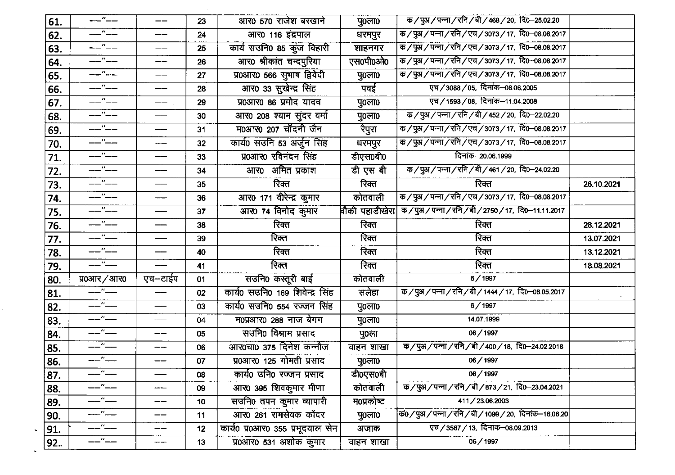| 61. | $--$ " $--$                            | ——                                           | 23              | आर0 570 राजेश बरखाने                                       | पु $0$ ला $0$ | क / पुअ / पन्ना / रनि / बी / 468 / 20, दि0–25.02.20                                                                                                                                                                                                                                                                 |            |
|-----|----------------------------------------|----------------------------------------------|-----------------|------------------------------------------------------------|---------------|---------------------------------------------------------------------------------------------------------------------------------------------------------------------------------------------------------------------------------------------------------------------------------------------------------------------|------------|
| 62. | ——"——                                  | ——                                           | 24              | आर0 116 इंद्रपाल                                           | धरमपुर        | क / पुअ / पन्ना / रनि / एच / 3073 / 17,  दि0–08.08.2017                                                                                                                                                                                                                                                             |            |
| 63. | <br> -<br> -                           | ——                                           | 25              | कार्य सउनि0 85 कुंज विहारी                                 | शाहनगर        | क / पुअ / पन्ना / रनि / एच / 3073 / 17,  दि0–08.08.2017                                                                                                                                                                                                                                                             |            |
| 64. | ——"——                                  |                                              | 26              | आर0 श्रीकांत चन्दपुरिया                                    | एस0पी0ओ0      | क / पुअ / पन्ना / रनि / एच / 3073 / 17,  दि0--08.08.2017                                                                                                                                                                                                                                                            |            |
| 65. | <br> -<br> -                           |                                              | 27              | प्र0आर0 566 सुभाष द्विवेदी                                 | पु0ला0        | क / पुअ / पन्ना / रनि / एच / 3073 / 17,  दि0–08.08.2017                                                                                                                                                                                                                                                             |            |
| 66. | $  -$                                  |                                              | 28              | आर0 33 सुखेन्द्र सिंह                                      | पवई           | एच/3088/05, दिनांक-08.06.2005                                                                                                                                                                                                                                                                                       |            |
| 67. | $-$ " $-$                              | ——                                           | 29              | प्र0आर0 86 प्रमोद यादव                                     | पु0ला0        | एच/1593/08, दिनांक-11.04.2008                                                                                                                                                                                                                                                                                       |            |
| 68. | __"__                                  |                                              | 30              | आर0 208 श्याम सुंदर वर्मा                                  | पु०ला०        | $\overline{\Phi}/\overline{\mathrm{g}}\mathrm{H}/\overline{\mathrm{u}}$ ना / रनि / बी / 452 / 20,  दि0–22.02.20                                                                                                                                                                                                     |            |
| 69. | $  ^{\prime\prime}$ $ -$               |                                              | 31              | म0आर0 207 चॉदनी जैन                                        | रैपुरा        | क / पुअ / पन्ना / रनि / एच / 3073 / 17,  दि0–08.08.2017                                                                                                                                                                                                                                                             |            |
| 70. | ——"——                                  |                                              | 32              | कार्य0 सउनि 53 अर्जुन सिंह                                 | धरमपुर        | क / पुअ / पन्ना / रनि / एच / 3073 / 17,  दि0–08.08.2017                                                                                                                                                                                                                                                             |            |
| 71. | ——"——                                  | $\qquad \qquad \qquad -\qquad \qquad$        | 33              | प्र0आर0 रविनंदन सिंह                                       | डीएस0बी0      | दिनांक-20.06.1999                                                                                                                                                                                                                                                                                                   |            |
| 72. | --"--                                  | ——                                           | 34              | अमित प्रकाश<br>आर0                                         | डी एस बी      | क / पुअ / पन्ना / रनि / बी / 461 / 20,  दि0–24.02.20                                                                                                                                                                                                                                                                |            |
| 73. | $-$ "--                                |                                              | 35              | रिक्त                                                      | रिक्त         | रिक्त                                                                                                                                                                                                                                                                                                               | 26.10.2021 |
| 74. | ——"——<br>——"——                         | $-\!-\!$                                     | 36              | आर0 171 वीरेन्द्र कुमार                                    | कोतवाली       | क / पुअ / पन्ना / रनि / एच / 3073 / 17,  दि0–08.08.2017                                                                                                                                                                                                                                                             |            |
| 75. | $\overline{\phantom{a}}$ $\phantom{a}$ |                                              | 37              | आर0 74 विनोद कुमार                                         |               | वौकी पहाडीखेरा क/पुअ/पन्ना/रनि/बी/2750/17, दि0–11.11.2017                                                                                                                                                                                                                                                           |            |
| 76. | $--$ " $--$                            |                                              | 38              | रिक्त                                                      | रिक्त         | रिक्त                                                                                                                                                                                                                                                                                                               | 28.12.2021 |
| 77. |                                        |                                              | 39              | रिक्त                                                      | रिक्त         | रिक्त                                                                                                                                                                                                                                                                                                               | 13.07.2021 |
| 78. | ——"——                                  |                                              | 40              | रिक्त                                                      | रिक्त         | रिक्त                                                                                                                                                                                                                                                                                                               | 13.12.2021 |
| 79. | $-$ " $-$                              |                                              | 41              | रिक्त                                                      | रिक्त         | रिक्त                                                                                                                                                                                                                                                                                                               | 18.08.2021 |
| 80. | प्र0आर / आर0                           | एच—टाईप                                      | 01              | सउनि० कस्तूरी बाई                                          | कोतवाली       | 6/1997                                                                                                                                                                                                                                                                                                              |            |
|     |                                        |                                              |                 |                                                            |               |                                                                                                                                                                                                                                                                                                                     |            |
| 81. |                                        | ——                                           | 02              | कार्य0 सउनि० 169 शिवेन्द्र सिंह                            | सलेहा         | क / पुअ / पन्ना / रनि / बी / 1444 / 17,  दि0–08.05.2017                                                                                                                                                                                                                                                             |            |
| 82. | $-- - -$                               | ——                                           | 03              | कार्य0 सउनि0 554 रज्जन सिंह                                | पु0ला0        | 6/1997                                                                                                                                                                                                                                                                                                              |            |
| 83. | —— <i>"</i> ——                         | $\hspace{1.0cm} \overbrace{\hspace{1.0cm} }$ | 04              | म0प्रआर0 288 नाज बेगम                                      | पु0ला0        | 14.07.1999                                                                                                                                                                                                                                                                                                          |            |
| 84. | ——"——                                  | $-\!$ $\!-$                                  | 05              | सउनि० विश्राम प्रसाद                                       | पु0ला         | 06/1997                                                                                                                                                                                                                                                                                                             |            |
| 85. | $ -$                                   | ---                                          | 06              | आर0चा0 375 दिनेश कन्नौज                                    | वाहन शाखा     | क / पुअ / पन्ना / रनि / बी / 400 / 18,  दि0–24.02.2018                                                                                                                                                                                                                                                              |            |
| 86. | $-- -$                                 | $- -$                                        | 07              | प्र0आर0 125 गोमती प्रसाद                                   | पु०ला०        | 06/1997                                                                                                                                                                                                                                                                                                             |            |
| 87. | $-$ " $-$                              |                                              | 08              | कार्य0 उनि0 रज्जन प्रसाद                                   | डी0एस0बी      | 06/1997                                                                                                                                                                                                                                                                                                             |            |
| 88. | ."---                                  |                                              | 09              | आर0 395 शिवकुमार मीणा                                      | कोतवाली       | $\frac{1}{2}$ $\sqrt{3}$ $\sqrt{4}$ $\sqrt{4}$ $\sqrt{4}$ $\sqrt{4}$ $\sqrt{8}$ $\sqrt{2}$ $\sqrt{2}$ $\sqrt{2}$ $\sqrt{2}$ $\sqrt{2}$ $\sqrt{2}$ $\sqrt{2}$ $\sqrt{2}$ $\sqrt{2}$ $\sqrt{2}$ $\sqrt{2}$ $\sqrt{2}$ $\sqrt{2}$ $\sqrt{2}$ $\sqrt{2}$ $\sqrt{2}$ $\sqrt{2}$ $\sqrt{2}$ $\sqrt{2}$ $\sqrt{2}$ $\sqrt$ |            |
| 89. | $-$ " $-$                              |                                              | 10 <sub>1</sub> | सउनि0 तपन कुमार व्यापारी                                   | म0प्रकोष्ट    | 411/23.06.2003                                                                                                                                                                                                                                                                                                      |            |
| 90. | -----"-----                            |                                              | 11              | आर0 261 रामसेवक कोंदर                                      | पु0ला0        | क0 / पुअ / पन्ना / रनि / बी / 1099 / 20,  दिनांक–16.06.20                                                                                                                                                                                                                                                           |            |
| 91. | ——"——<br>——"——                         |                                              | 12              | कार्य0 प्र0आर0 355 प्रभूदयाल सेन<br>प्र0आर0 531 अशोक कुमार | अजाक          | एच / 3567 / 13, दिनांक-08.09.2013                                                                                                                                                                                                                                                                                   |            |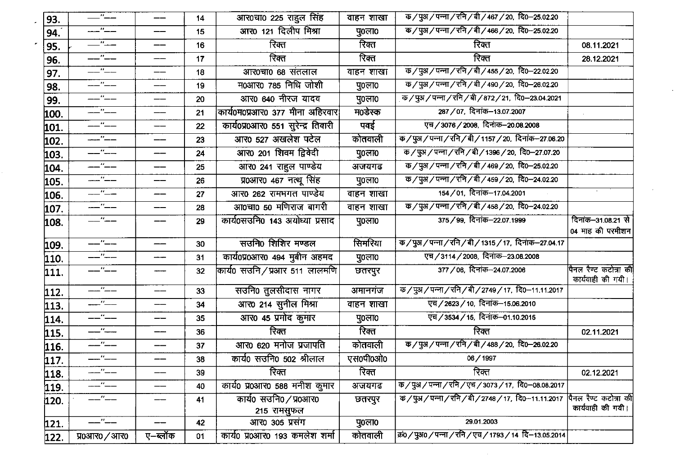| 93.  | $ -$                          | ——                       | 14 | आर0चा0 225 राहुल सिंह              | वाहन शाखा     | $\frac{1}{2}$ क / पुअ / पन्ना / रनि / बी / 467 / 20,  दि0–25.02.20                                                                                        |                                            |
|------|-------------------------------|--------------------------|----|------------------------------------|---------------|-----------------------------------------------------------------------------------------------------------------------------------------------------------|--------------------------------------------|
| 94.  | —"—                           |                          | 15 | आर0 121 दिलीप मिश्रा               | पु०ला०        | $\frac{1}{10}$ / पुअ / पन्ना / रनि / बी / 466 / 20, दि0-25.02.20                                                                                          |                                            |
| 95.  | $-$ " $-$                     | ——                       | 16 | रिक्त                              | रिक्त         | रिक्त                                                                                                                                                     | 08.11.2021                                 |
| 96.  |                               | ——                       | 17 | रिक्त                              | रिक्त         | रिक्त                                                                                                                                                     | 28.12.2021                                 |
| 97.  | $--''--$                      | --                       | 18 | आर0चा0 68 संतलाल                   | वाहन शाखा     | $\frac{1}{2}$ क / पुअ / पन्ना / रनि / बी / 455 / 20,  दि0–22.02.20                                                                                        |                                            |
| 98.  | ——"——                         | ——                       | 19 | <b>म0आर0 785 निधि जोशी</b>         | पु0ला0        | क / पुअ / पन्ना / रनि / बी / 490 / 20,  दि0–26.02.20                                                                                                      |                                            |
| 99.  | ——"——                         | ——                       | 20 | आर0 640 नीरज यादव                  | पु0ला0        | $\overline{\Phi}/\overline{\mathrm{g}}$ अ $\overline{/}$ पन्ना $\overline{/}$ रनि $\overline{/}$ बी $\overline{/}$ 872 $\overline{/}$ 21,  दि0–23.04.2021 |                                            |
| 100. |                               |                          | 21 | कार्य0म0प्रआर0 377 मीना अहिरवार    | म0डेस्क       | 287 / 07, दिनांक-13.07.2007                                                                                                                               |                                            |
| 101. | $ -$                          | ——                       | 22 | कार्य0प्र0आर0 551 सुरेन्द्र तिवारी | पवई           | एच/3076/2008, दिनांक-20.08.2008                                                                                                                           |                                            |
| 102. |                               | ——                       | 23 | आर0 527 अखलेश पटेल                 | कोतवाली       | क/पुअ/पन्ना/रनि/बी/1157/20, दिनांक--27.06.20                                                                                                              |                                            |
| 103. | —— <i>"</i> ——                | ——                       | 24 | आर0 201 शिवम द्विवेदी              | पु $o$ ला $o$ | क / पुअ / पन्ना / रनि / बी / 1396 / 20,  दि0–27.07.20                                                                                                     |                                            |
| 104. | $-$ " $-$                     | ——                       | 25 | आर0 241 राहुल पाण्डेय              | अजयगढ         | क / पुअ / पन्ना / रनि / बी / 469 / 20,  दि0–25.02.20                                                                                                      |                                            |
| 105. | ——"——                         | ——                       | 26 | प्र0आर0 467 नत्थू सिंह             | पु०ला०        | क / पुअ / पन्ना / रनि / बी / 459 / 20,  दि0–24.02.20                                                                                                      |                                            |
| 106. | $-$ " $-$                     | ——                       | 27 | आर0 262 राममगत पाण्डेय             | वाहन शाखा     | 154/01, दिनांक-17.04.2001                                                                                                                                 |                                            |
| 107. | —— <i>"</i> ——                | ——                       | 28 | आ0चा0 50 मणिराज बागरी              | वाहन शाखा     | क / पुअ / पन्ना / रनि / बी / 458 / 20,  दि0–24.02.20                                                                                                      |                                            |
| 108. | $-$ " $-$                     | ——                       | 29 | कार्य0सउनि0 143 अयोध्या प्रसाद     | पु0ला0        | 375 / 99, दिनांक-22.07.1999                                                                                                                               | दिनांक–31.08.21 से                         |
|      |                               |                          |    |                                    |               |                                                                                                                                                           | 04 माह की परमीशन                           |
| 109. | ——"——                         | $- -$                    | 30 | सउनि0 शिशिर मण्डल                  | सिमरिया       | क / पुअ / पन्ना / रनि / बी / 1315 / 17, दिनांक–27.04.17                                                                                                   |                                            |
| 110. | ——"——                         | -----                    | 31 | कार्य0प्र0आर0 494 मुबीन अहमद       | पु०ला०        | एच/3114/2008, दिनांक-23.08.2008                                                                                                                           |                                            |
| 111. | ——"——                         | ----                     | 32 | कार्य0 सउनि ⁄ प्रआर 511 लालमणि     | छतरपुर        | 377 / 06, दिनांक-24.07.2006                                                                                                                               | पैनल रैण्ट कटोत्रा की<br>कार्यवाही की गयी। |
| 112. | ——"——                         | ——                       | 33 | सउनि0 तुलसीदास नागर                | अमानगंज       | क / पुअ / पन्ना / रनि / बी / 2749 / 17, दि0–11.11.2017                                                                                                    |                                            |
| 113. | $-$ " $-$                     | ——                       | 34 | आर0 214 सुनील मिश्रा               | वाहन शाखा     | एच/2623/10, दिनांक-15.06.2010                                                                                                                             |                                            |
| 114. | --"---<br>-- <sup>"</sup> --- | ——                       | 35 | आर0 45 प्रमोद कुमार                | पु०ला०        | एच/3534/15, दिनांक-01.10.2015                                                                                                                             |                                            |
| 115. | —"——                          | ---                      | 36 | रिक्त                              | रिक्त         | रिक्त                                                                                                                                                     | 02.11.2021                                 |
| 116. | $--$ " $--$                   | ——                       | 37 | आर0 620 मनोज प्रजापति              | कोतवाली       | क / पुअ / पन्ना / रनि / बी / 488 / 20, दि0–26.02.20                                                                                                       |                                            |
| 117. | ——"——                         | $\qquad \qquad \qquad -$ | 38 | कार्य0 सउनि0 502 श्रीलाल           | एस०पी०ओ०      | 06/1997                                                                                                                                                   |                                            |
| 118. |                               | ——                       | 39 | रिक्त                              | रिक्त         | रिक्त                                                                                                                                                     | 02.12.2021                                 |
| 119. | —"——                          | ——                       | 40 | कार्य0 प्र0आर0 588 मनीश कुमार      | अजयगढ         | क / पुअ / पन्ना / रनि / एच / 3073 / 17,  दि0–08.08.2017                                                                                                   |                                            |
| 120. | -"--                          |                          | 41 | कार्य0 सउनि0/प्र0आर0               | छतरपुर        | क / पुअ / पन्ना / रनि / बी / 2748 / 17,  दि0–11.11.2017                                                                                                   | पैनल रैण्ट कटोत्रा की                      |
|      |                               |                          |    | 215 रामसुफल                        |               |                                                                                                                                                           | कार्यवाही की गयी।                          |
| 121. | —"—                           | ——                       | 42 | आर0 305 प्रसंग                     | पु0ला0        | 29.01.2003                                                                                                                                                |                                            |
| 122. | प्र0आर0 / आर0                 | ए–ब्लॉक                  | 01 | कार्य0 प्र0आर0 193 कमलेश शर्मा     | कोतवाली       | कं0 / पुअ0 / पन्ना / रनि / एच / 1793 / 14 दि–13.05.2014                                                                                                   |                                            |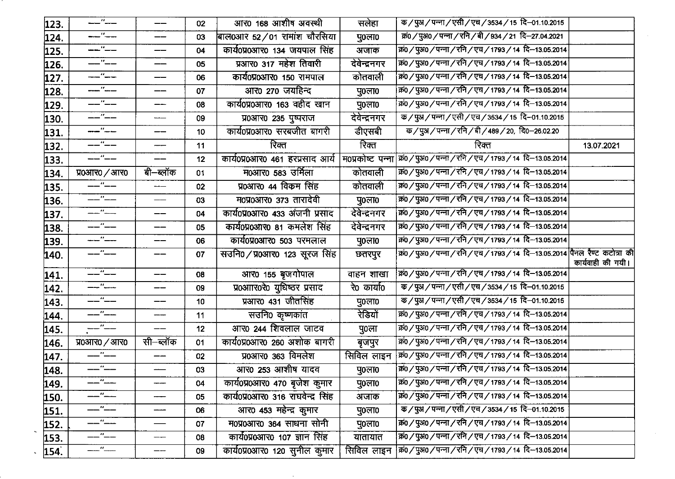| 123. | $--$ " $--$                                                                                                                  | $\qquad \qquad \textbf{---} \qquad \qquad$                                                   | 02              | आर0 168 आशीष अवस्थी               | सलेहा         | क / पुअ / पन्ना / एसी / एच / 3534 / 15) दि–01.10.2015             |                   |
|------|------------------------------------------------------------------------------------------------------------------------------|----------------------------------------------------------------------------------------------|-----------------|-----------------------------------|---------------|-------------------------------------------------------------------|-------------------|
| 124. | —"—                                                                                                                          | ——                                                                                           | 03              | बाल0आर 52/01 रामांश चौरसिया       | पु0ला0        | क्रं0 / पुअ0 / पन्ना / रनि / बी / 934 / 21 दि-27.04.2021          |                   |
| 125. | ——"——                                                                                                                        |                                                                                              | 04              | कार्य0प्र0आर0 134 जयपाल सिंह      | अजाक          | कं0 / पुअ0 / पन्ना / रनि / एच / 1793 / 14 दि-13.05.2014           |                   |
| 126. | <b></b><br>                                                                                                                  |                                                                                              | 05              | प्रआर0 317 महेश तिवारी            | देवेन्द्रनगर  | कं0 / पुअ0 / पन्ना / रनि / एच / 1793 / 14 दि–13.05.2014           |                   |
| 127. | $-$ " $-$                                                                                                                    | ——                                                                                           | 06              | कार्य0प्र0आर0 150 रामपाल          | कोतवाली       | कं0 / पुअ0 / पन्ना / रनि / एच / 1793 / 14 दि-13.05.2014           |                   |
| 128. | ----"---                                                                                                                     | ——                                                                                           | 07              | आर0 270 जयहिन्द                   | पु $0$ ला $0$ | कं0 / पुअ0 / पन्ना / रनि / एच / 1793 / 14 दि-13.05.2014           |                   |
| 129. | $-- - -$                                                                                                                     | ——                                                                                           | 80              | कार्य0प्र0आर0 163 वहीद खान        | पु0ला0        | क0 / पुअ0 / पन्ना / रनि / एच / 1793 / 14 दि-13.05.2014            |                   |
| 130. |                                                                                                                              |                                                                                              | 09              | प्र0आर0 235 पुष्पराज              | देवेन्द्रनगर  | क / पुअ / पन्ना / एसी / एच / 3534 / 15) दि–01.10.2015             |                   |
| 131. | $-$ " $-$                                                                                                                    | --                                                                                           | 10              | कार्य0प्र0आर0 सरबजीत बागरी        | डीएसबी        | क / पुअ / पन्ना / रनि / बी / 489 / 20, दि0–26.02.20               |                   |
| 132. | $--$ " $--$                                                                                                                  |                                                                                              | 11              | रिक्त                             | रिक्त         | रिक्त                                                             | 13.07.2021        |
| 133. | --"--                                                                                                                        |                                                                                              | 12              | कार्य0प्र0आर0 461 हरप्रसाद आर्य   |               | म0प्रकोष्ट पन्ना क्र0/पुअ0/पन्ना/रनि/एच/1793/14 दि-13.05.2014     |                   |
| 134. | $\frac{1}{20}$ yo $\frac{1}{20}$ yo $\frac{1}{20}$ yo $\frac{1}{20}$                                                         | बी–ब्लॉक                                                                                     | 01              | म0आर0 583 उर्मिला                 | कोतवाली       | क्र0 / पुअ0 / पन्ना / रनि / एच / 1793 / 14 दि-13.05.2014          |                   |
| 135. | $-$ " $-$                                                                                                                    | $\hspace{1.0cm}\rule{1.5cm}{0.15cm}\hspace{1.0cm}\rule{1.5cm}{0.15cm}\hspace{1.0cm}\epsilon$ | 02              | प्र0आर0 44 विकम सिंह              | कोतवाली       | क0/पुअ0/पन्ना/रनि/एच/1793/14 दि-13.05.2014                        |                   |
| 136. | $\overline{\phantom{a}}$ $\overline{\phantom{a}}$                                                                            | $\hspace{0.05cm}$                                                                            | 03              | म0प्र0आर0 373 तारादेवी            | पु0ला0        | क0 / पुअ0 / पन्ना / रनि / एच / 1793 / 14 दि-13.05.2014            |                   |
| 137. | $-$ " $-$                                                                                                                    |                                                                                              | 04              | कार्य0प्र0आर0 433 अंजनी प्रसाद    | देवेन्द्रनगर  | क0 / पुअ0 / पन्ना / रनि / एच / 1793 / 14 दि–13.05.2014            |                   |
| 138. | $-- - -$                                                                                                                     |                                                                                              | 05              | कार्य0प्र0आर0 81 कमलेश सिंह       | देवेन्द्रनगर  | क्रं0 / पुअ0 / पन्ना / रनि / एच / 1793 / 14 दि-13.05.2014         |                   |
| 139. | -- "---                                                                                                                      | ——                                                                                           | 06              | कार्य0प्र0आर0 503 परमलाल          | पु0ला0        | कं0 / पुअ0 / पन्ना / रनि / एच / 1793 / 14 दि-13.05.2014           |                   |
| 140. | $-$ " $-$                                                                                                                    |                                                                                              | 07              | सउनि0/प्र0आर0 123 सूरज सिंह       | छतरपुर        | कं0/पुअ0/पन्ना/रनि/एच/1793/14 दि–13.05.2014 पैनल रैण्ट कटोत्रा की | कार्यवाही की गयी। |
| 141. | $--$ " $--$                                                                                                                  | ——                                                                                           | 08              | आर0 155 बृजगोपाल                  | वाहन शाखा     | कं0 / पुअ0 / पन्ना / रनि / एच / 1793 / 14 दि-13.05.2014           |                   |
| 142. | $-$ " $-$                                                                                                                    |                                                                                              | 09              | प्र0आार0रे0 युधिष्ठर प्रसाद       | रे0 कार्या0   | क / पुअ / पन्ना / एसी / एच / 3534 / 15  दि–01.10.2015             |                   |
| 143. | --"--                                                                                                                        | ——                                                                                           | 10 <sub>1</sub> | प्रआर0 431 जीतसिंह                | पु0ला0        | क / पुअ / पन्ना / एसी / एच / 3534 / 15  दि–01.10.2015             |                   |
| 144. | $--$ " $--$                                                                                                                  | -------                                                                                      | 11              | सउनि० कृष्णकांत                   | रेडियों       | क्रं0 / पुअ0 / पन्ना / रनि / एच / 1793 / 14 दि-13.05.2014         |                   |
| 145. | $-$ " $-$                                                                                                                    |                                                                                              | 12 <sub>2</sub> | आर0 244 शिवलाल जाटव               | पु०ला         | कं0 / पुअ0 / पन्ना / रनि / एच / 1793 / 14 दि-13.05.2014           |                   |
| 146. | प्र०आर० / आर०                                                                                                                | सी–ब्लॉक                                                                                     | 01              | कार्य0प्र0आर0 260 अशोक बागरी      | बृजपुर        | क्र0 / पुअ0 / पन्ना / रनि / एच / 1793 / 14 दि-13.05.2014          |                   |
| 147. | $--$ " $--$                                                                                                                  |                                                                                              | 02              | प्र0आर0 363 विमलेश                | सिविल लाइन    | किं0 / पुअ0 / पन्ना / रनि / एच / 1793 / 14) दि–13.05.2014         |                   |
| 148. | $--$ " $--$                                                                                                                  |                                                                                              | 03              | आर0 253 आशीष यादव                 | पु0ला0        | कं0 / पुअ0 / पन्ना / रनि / एच / 1793 / 14 दि-13.05.2014           |                   |
| 149. | $\overline{\phantom{a}}$ $\overline{\phantom{a}}$ $\overline{\phantom{a}}$ $\overline{\phantom{a}}$ $\overline{\phantom{a}}$ |                                                                                              | 04              | कार्य0प्र0आर0 470 बृजेश कुमार     | पु0ला0        | कं0 / पुअ0 / पन्ना / रनि / एच / 1793 / 14 दि–13.05.2014           |                   |
| 150. | ——"——                                                                                                                        |                                                                                              | 05              | कार्य0प्र0आर0 316 राघवेन्द्र सिंह | अजाक          | क्र0 / पुअ0 / पन्ना / रनि / एच / 1793 / 14 दि-13.05.2014          |                   |
| 151. | —"——                                                                                                                         |                                                                                              | 06              | आर0 453 महेन्द्र कुमार            | पु0ला0        | क / पुअ / पन्ना / एसी / एच / 3534 / 15  दि–01.10.2015             |                   |
| 152. | ——"——                                                                                                                        |                                                                                              | 07              | म0प्र0आर0 364 साधना सोनी          | पु०ला०        | कं0 / पुअ0 / पन्ना / रनि / एच / 1793 / 14 दि–13.05.2014           |                   |
| 153. | —— <i>"</i> ——                                                                                                               |                                                                                              | 08              | कार्य0प्र0आर0 107 ज्ञान सिंह      | यातायात       | क्रं0 / पुअ0 / पन्ना / रनि / एच / 1793 / 14 दि-13.05.2014         |                   |
| 154. | $-$ " $-$                                                                                                                    |                                                                                              | 09              | कार्य0प्र0आर0 120 सुनील कुमार     | सिविल लाइन    | क0 / पुअ0 / पन्ना / रनि / एच / 1793 / 14 दि-13.05.2014            |                   |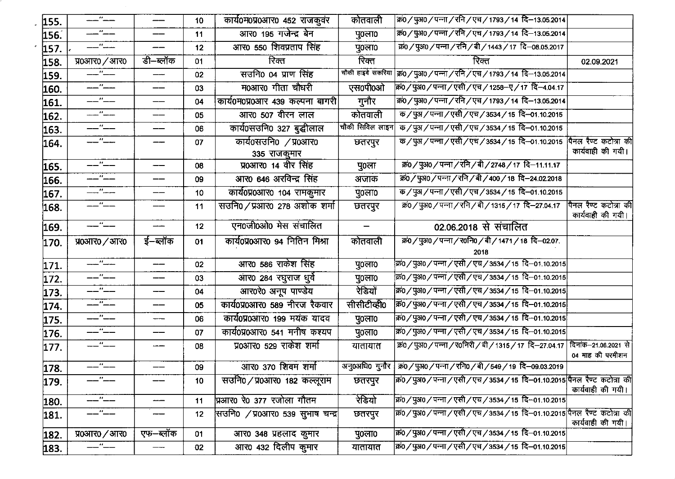| 155. |                                                   | ——       | 10              | कार्य0म0प्र0आर0 452 राजकुवर      | कोतवाली                        | क्र0/पुअ0/पन्ना/रनि/एच/1793/14 दि-13.05.2014                                                                                                                                                                                                                                                                        |                                            |
|------|---------------------------------------------------|----------|-----------------|----------------------------------|--------------------------------|---------------------------------------------------------------------------------------------------------------------------------------------------------------------------------------------------------------------------------------------------------------------------------------------------------------------|--------------------------------------------|
| 156. | ---"--                                            | ——       | 11              | आर0 195 गजेन्द्र बेन             | पु $0$ ला $0$                  | क0 / पुअ0 / पन्ना / रनि / एच / 1793 / 14 दि-13.05.2014                                                                                                                                                                                                                                                              |                                            |
| 157. | __"__                                             | ——       | 12              | आर0 550 शिवप्रताप सिंह           | पु0ला0                         | क्र0/पुअ0/पन्ना/रनि/बी/1443/17 दि-08.05.2017                                                                                                                                                                                                                                                                        |                                            |
| 158. | प्र $0.3170$ / आर $0$                             | डी–ब्लॉक | 01              | रिक्त                            | रिक्त                          | रिक्त                                                                                                                                                                                                                                                                                                               | 02.09.2021                                 |
| 159. | $-1$ $-$                                          |          | 02              | सउनि० ०४ प्राण सिंह              | चौकी हाइवे सकरिया              | क0 / पुअ0 / पन्ना / रनि / एच / 1793 / 14  दि–13.05.2014                                                                                                                                                                                                                                                             |                                            |
| 160. | ——"——                                             |          | 03              | म0आर0 गीता चौधरी                 | एस0पी0ओ                        | कं0 / पुअ0 / पन्ना / एसी / एच / 1258-ए / 17 दि-4.04.17                                                                                                                                                                                                                                                              |                                            |
| 161. | ——"——                                             | ——       | 04              | कार्य0म0प्र0आर 439 कल्पना बागरी  | गुनौर                          | कं0 / पुअ0 / पन्ना / रनि / एच / 1793 / 14 दि-13.05.2014                                                                                                                                                                                                                                                             |                                            |
| 162. | ——"——                                             | $-$      | 05              | आर0 507 वीरन लाल                 | कोतवाली                        | $\frac{1}{4}$ $\frac{1}{4}$ $\frac{1}{4}$ $\frac{1}{4}$ $\frac{1}{4}$ $\frac{1}{4}$ $\frac{1}{4}$ $\frac{1}{4}$ $\frac{1}{4}$ $\frac{1}{4}$ $\frac{1}{4}$ $\frac{1}{4}$ $\frac{1}{4}$ $\frac{1}{4}$ $\frac{1}{4}$ $\frac{1}{4}$ $\frac{1}{4}$ $\frac{1}{4}$ $\frac{1}{4}$ $\frac{1}{4}$ $\frac{1}{4}$ $\frac{1}{4}$ |                                            |
| 163. | ——"——                                             | ——       | 06              | कार्य0सउनि0 327 बुद्धीलाल        | चौकी सिविल लाइन                | क / पुअ / पन्ना / एसी / एच / 3534 / 15 दि–01.10.2015                                                                                                                                                                                                                                                                |                                            |
| 164. | ——"——                                             |          | 07              | कार्य0सउनि० /प्र०आर०             | छतरपुर                         | क / पुअ / पन्ना / एसी / एच / 3534 / 15 दि–01.10.2015                                                                                                                                                                                                                                                                | पैनल रैण्ट कटोत्रा की                      |
|      |                                                   |          |                 | 335 राजकूमार                     |                                |                                                                                                                                                                                                                                                                                                                     | कार्यवाही की गयी।                          |
| 165. | __"__                                             | ——       | 08              | प्र0आर0 14 वीर सिंह              | पु०ला                          | कं0 / पुअ0 / पन्ना / रनि / बी / 2748 / 17 दि-11.11.17                                                                                                                                                                                                                                                               |                                            |
| 166. | ——"——                                             |          | 09              | आर0 646 अरविन्द्र सिंह           | अजाक                           | क0 / पुअ0 / पन्ना / रनि / बी / 400 / 18 दि-24.02.2018                                                                                                                                                                                                                                                               |                                            |
| 167. |                                                   |          | 10 <sub>1</sub> | कार्य0प्र0आर0 104 रामकुमार       | पुoलाo                         | क / पुअ / पन्ना / एसी / एच / 3534 / 15 दि–01.10.2015                                                                                                                                                                                                                                                                |                                            |
| 168. | --"--                                             |          | 11              | सउनि0/प्रआर0 278 अशोक शर्मा      | छतरपुर                         | क0 / पुअ0 / पन्ना / रनि / बी / 1315 / 17 दि–27.04.17                                                                                                                                                                                                                                                                | पिनल रैण्ट कटोत्रा की<br>कार्यवाही की गयी। |
| 169. | ——"——                                             | ----     | 12              | एन0जी0ओ0 मेस संचालित             | $\qquad \qquad \longleftarrow$ | 02.06.2018 से संचालित                                                                                                                                                                                                                                                                                               |                                            |
| 170. | प्र0आर0 / आर0                                     | ई–ब्लॉक  | 01              | कार्य0प्र0आर0 94 नितिन मिश्रा    | कोतवाली                        | क0/पुअ0/पन्ना/र0नि0/बी/1471/18 दि-02.07.                                                                                                                                                                                                                                                                            |                                            |
|      |                                                   |          |                 |                                  |                                | 2018                                                                                                                                                                                                                                                                                                                |                                            |
| 171. | $\overline{\phantom{a}}$ $\overline{\phantom{a}}$ | ---      | 02              | आर0 586 राकेश सिंह               | पु0ला0                         | क0 / पुअ0 / पन्ना / एसी / एच / 3534 / 15) दि–01.10.2015                                                                                                                                                                                                                                                             |                                            |
| 172. | ——"——                                             | ——       | 03              | आर0 284 रघुराज धुर्वे            | पु०ला०                         | क्र0 / पुअ0 / पन्ना / एसी / एच / 3534 / 15  दि–01.10.2015                                                                                                                                                                                                                                                           |                                            |
| 173. | ——"——                                             | ——       | 04              | आर0रे0 अनूप पाण्डेय              | रेडियों                        | क0 / पुअ0 / पन्ना / एसी / एच / 3534 / 15  दि–01.10.2015                                                                                                                                                                                                                                                             |                                            |
| 174. | $-$ " $-$                                         | ——       | 05              | कार्य0प्र0आर0 589 नीरज रैकवार    | सीसीटीव्हो0                    | क0/पुअ0/पन्ना/एसी/एच/3534/15 दि-01.10.2015                                                                                                                                                                                                                                                                          |                                            |
| 175. | $-$ " $-$                                         | -----    | 06              | कार्य0प्र0आर0 199 मयंक यादव      | पु0ला0                         | क0 / पुअ0 / पन्ना / एसी / एच / 3534 / 15 दि–01.10.2015                                                                                                                                                                                                                                                              |                                            |
| 176. | ——"——                                             | ——       | 07              | कार्य0प्र0आर0 541 मनीष कश्यप     | पु०ला०                         | क0 / पुअ0 / पन्ना / एसी / एच / 3534 / 15  दि–01.10.2015                                                                                                                                                                                                                                                             |                                            |
| 177. | ——"——                                             |          | 08              | प्र0आर0 529 राकेश शर्मा          | यातायात                        | कं0 / पुअ0 / पन्ना / र0निरी / बी / 1315 / 17 दि–27.04.17 दिनांक–21.06.2021 से                                                                                                                                                                                                                                       | 04 माह की परमीशन                           |
| 178. | -"--                                              |          | 09              | आर0 370 शिवम शर्मा               |                                | अनु0अधि0 गुनौर   क्र0/पुअ0/पन्ना/रनि0/बी/549/19 दि-09.03.2019                                                                                                                                                                                                                                                       |                                            |
| 179. | ——"——                                             | ——       | 10              | सउनि0 / प्र0आर0 182 कल्लूराम     | छतरपुर                         | कि0/पुअ0/पन्ना/एसी/एच/3534/15 दि–01.10.2015 पैनल रैण्ट कटोत्रा की                                                                                                                                                                                                                                                   | कार्यवाही की गयी।                          |
| 180. |                                                   | ---      | 11              | प्रआर0 रे0 377 रजोला गौतम        | रेडियो                         | क0 / पुअ0 / पन्ना / एसी / एच / 3534 / 15 दि-01.10.2015                                                                                                                                                                                                                                                              |                                            |
| 181. | ——"——                                             |          | 12              | सिउनि0 /प्र0आर0 539 सुभाष चन्द्र | छतरपुर                         | क्रि0/पुअ0/पन्ना/एसी/एच/3534/15 दि–01.10.2015 पैनल रैण्ट कटोत्रा की                                                                                                                                                                                                                                                 | कार्यवाही की गयी।                          |
| 182. | प्र0आर0 / आर0                                     | एफ–ब्लॉक | 01              | आर0 348 प्रहलाद कुमार            | पु0ला0                         | क0 / पुअ0 / पन्ना / एसी / एच / 3534 / 15 दि–01.10.2015                                                                                                                                                                                                                                                              |                                            |
| 183. | —"—                                               | ——       | 02              | आर0 432 दिलीप कुमार              | यातायात                        | क0 / पुअ0 / पन्ना / एसी / एच / 3534 / 15 दि–01.10.2015                                                                                                                                                                                                                                                              |                                            |
|      |                                                   |          |                 |                                  |                                |                                                                                                                                                                                                                                                                                                                     |                                            |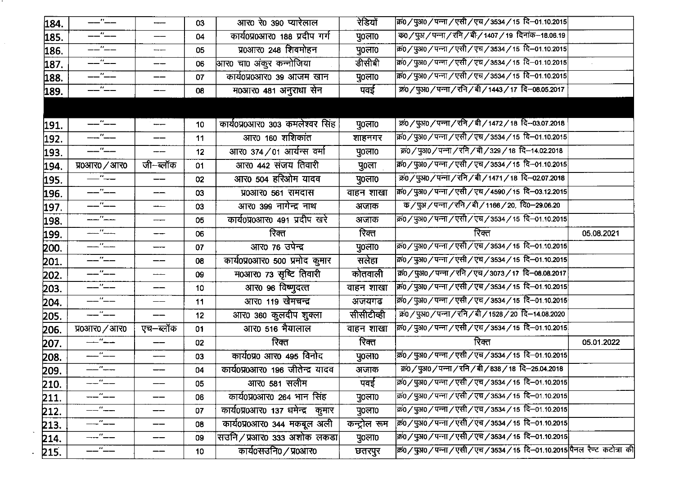| 184. | —"——                 | -----           | 03              | आर0 रे0 390 प्यारेलाल            | रेडियों      | क्रि0 / पुअ0 / पन्ना / एसी / एच / 3534 / 15  दि–01.10.2015       |            |
|------|----------------------|-----------------|-----------------|----------------------------------|--------------|------------------------------------------------------------------|------------|
| 185. | $ -$                 | ——              | 04              | कार्य0प्र0आर0 188 प्रदीप गर्ग    | पु०ला०       | क0 / पुअ / पन्ना / रनि / बी / 1407 / 19 दिनांक-18.06.19          |            |
| 186. |                      | ---             | 05              | प्र0आर0 248 शिवमोहन              | पु०ला०       | कं0 / पुअ0 / पन्ना / एसी / एच / 3534 / 15) दि–01.10.2015         |            |
| 187. | $-$ " $-$            |                 | 06              | आर0 चा0 अंकूर कन्नोजिया          | डीसीबी       | क0 / पुअ0 / पन्ना / एसी / एच / 3534 / 15  दि–01.10.2015          |            |
| 188. | ——"——                | ——              | 07              | कार्य0प्र0आर0 39 आजम खान         | पु०ला०       | क्र0 / पुअ0 / पन्ना / एसी / एच / 3534 / 15  दि–01.10.2015        |            |
| 189. | ——"——                | ——              | 08              | म0आर0 481 अनुराधा सेन            | पवई          | क्रं0 / पुअ0 / पन्ना / रनि / बी / 1443 / 17 दि-08.05.2017        |            |
|      |                      |                 |                 |                                  |              |                                                                  |            |
|      | $-$ " $-$            | ------          | 10              | कार्य0प्र0आर0 303 कमलेश्वर सिंह  | पु0ला0       | क्रं0 / पुअ0 / पन्ना / रनि / बी / 1472 / 18 दि-03.07.2018        |            |
| 191. | ——"——                | ——              | 11              | आर0 160 शशिकांत                  | शाहनगर       | क्रि0 / पुअ0 / पन्ना / एसी / एच / 3534 / 15  दि–01.10.2015       |            |
| 192. | ——"——                |                 |                 | आर0 374/01 आर्यन्स वर्मा         |              | क्र0 / पुअ0 / पन्ना / रनि / बी / 329 / 18 दि–14.02.2018          |            |
| 193. |                      | ---<br>जी–ब्लॉक | 12              | आर0 442 संजय तिवारी              | पु०ला०       | क0 / पुअ0 / पन्ना / एसी / एच / 3534 / 15  दि–01.10.2015          |            |
| 194. | प्र0आर0 / आर0<br>—"— |                 | 01              |                                  | पु०ला        | क्र0 / पुअ0 / पन्ना / रनि / बी / 1471 / 18 दि–02.07.2018         |            |
| 195. | $---$ " $---$        | ——              | 02              | आर0 504 हरिओम यादव               | पु0ला0       | क्रि0 / पुअ0 / पन्ना / एसी / एच / 4590 / 15 दि–03.12.2015        |            |
| 196. |                      | ---             | 03              | प्र0आर0 561 रामदास               | वाहन शाखा    |                                                                  |            |
| 197. | __ <i>"__</i> _      |                 | 03              | आर0 399 नागेन्द्र नाथ            | अजाक         | क / पुअ / पन्ना / रनि / बी / 1166 / 20,  दि0–29.06.20            |            |
| 198. | ___"___              |                 | 05              | कार्य0प्र0आर0 491 प्रदीप खरे     | अजाक         | क0 / पुअ0 / पन्ना / एसी / एच / 3534 / 15) दि–01.10.2015          |            |
| 199. |                      | ---             | 06              | रिक्त                            | रिक्त        | रिक्त                                                            | 05.08.2021 |
| 200. | ——"-----             |                 | 07              | आर0 76 उपेन्द्र                  | पु0ला0       | क0 / पुअ0 / पन्ना / एसी / एच / 3534 / 15 दि-01.10.2015           |            |
| 201. | --"--                | ——              | 08              | कार्य0प्र0आर0 500 प्रमोद कुमार   | सलेहा        | क0 / पुअ0 / पन्ना / एसी / एच / 3534 / 15  दि–01.10.2015          |            |
| 202. | ——"——                | ----            | 09              | म0आर0 73 सृष्टि तिवारी           | कोतवाली      | क0/पुअ0/पन्ना/रनि/एच/3073/17 दि-08.08.2017                       |            |
| 203. | --''--               | ——              | 10              | आर0 96 विष्णुदत्त                | वाहन शाखा    | किं0 / पुअ0 / पन्ना / एसी / एच / 3534 / 15  दि–01.10.2015        |            |
| 204. | ——"——                | ——              | 11              | आर0 119 खेमचन्द्र                | अजयगढ        | क्रि0 / पुअ0 / पन्ना / एसी / एच / 3534 / 15) दि–01.10.2015       |            |
| 205. | --''--               | ——              | 12              | आर0 360 कुलदीप शुक्ला            | सीसीटीव्ही   | कं0 / पुअ0 / पन्ना / रनि / बी / 1528 / 20 दि–14.08.2020          |            |
| 206. | प्र0आर0 / आर0        | एच–ब्लॉक        | 01              | आर0 516 भैयालाल                  | वाहन शाखा    | क0 / पुअ0 / पन्ना / एसी / एच / 3534 / 15 दि-01.10.2015           |            |
| 207. | $-$ "                |                 | 02              | रिक्त                            | रिक्त        | रिक्त                                                            | 05.01.2022 |
| 208. | _"___                |                 | 03              | कार्य0प्र0 आर0 495 विनोद         | पु०ला०       | क0 / पुअ0 / पन्ना / एसी / एच / 3534 / 15 दि–01.10.2015           |            |
| 209. | $-$ " $-$            | ——              | 04              | कार्य0प्र0आर0 196 जीतेन्द्र यादव | अजाक         | क0 / पुअ0 / पन्ना / रनि / बी / 838 / 18 दि-25.04.2018            |            |
| 210. |                      | ——              | 05              | आर0 581 सलीम                     | पवई          | क्रं0 / पुअ0 / पन्ना / एसी / एच / 3534 / 15  दि–01.10.2015       |            |
| 211. | ——"——                | ——              | 06              | कार्य0प्र0आर0 264 भान सिंह       | पु०ला०       | क0 / पुअ0 / पन्ना / एसी / एच / 3534 / 15  दि–01.10.2015          |            |
| 212. | ——"——                | ——              | 07              | कार्य0प्र0आर0 137 धमेन्द्र कुमार | पु०ला०       | क0 / पुअ0 / पन्ना / एसी / एच / 3534 / 15) दि–01.10.2015          |            |
| 213. | $-$ " $-$            | $-$             | 08              | कार्य0प्र0आर0 344 मकबूल अली      | कन्ट्रोल रूम | क0 / पुअ0 / पन्ना / एसी / एच / 3534 / 15 दि–01.10.2015           |            |
| 214. | ----"---             | ——              | 09              | सउनि/प्रआर0 333 अशोक लकडा        | पु०ला०       | क0 / पुअ0 / पन्ना / एसी / एच / 3534 / 15 दि–01.10.2015           |            |
| 215. | —"——                 | ——              | 10 <sub>1</sub> | कार्य0सउनि0 / प्र०आर०            | छतरपुर       | क0/पुअ0/पन्ना/एसी/एच/3534/15 दि–01.10.2015 पैनल रैण्ट कटोत्रा की |            |